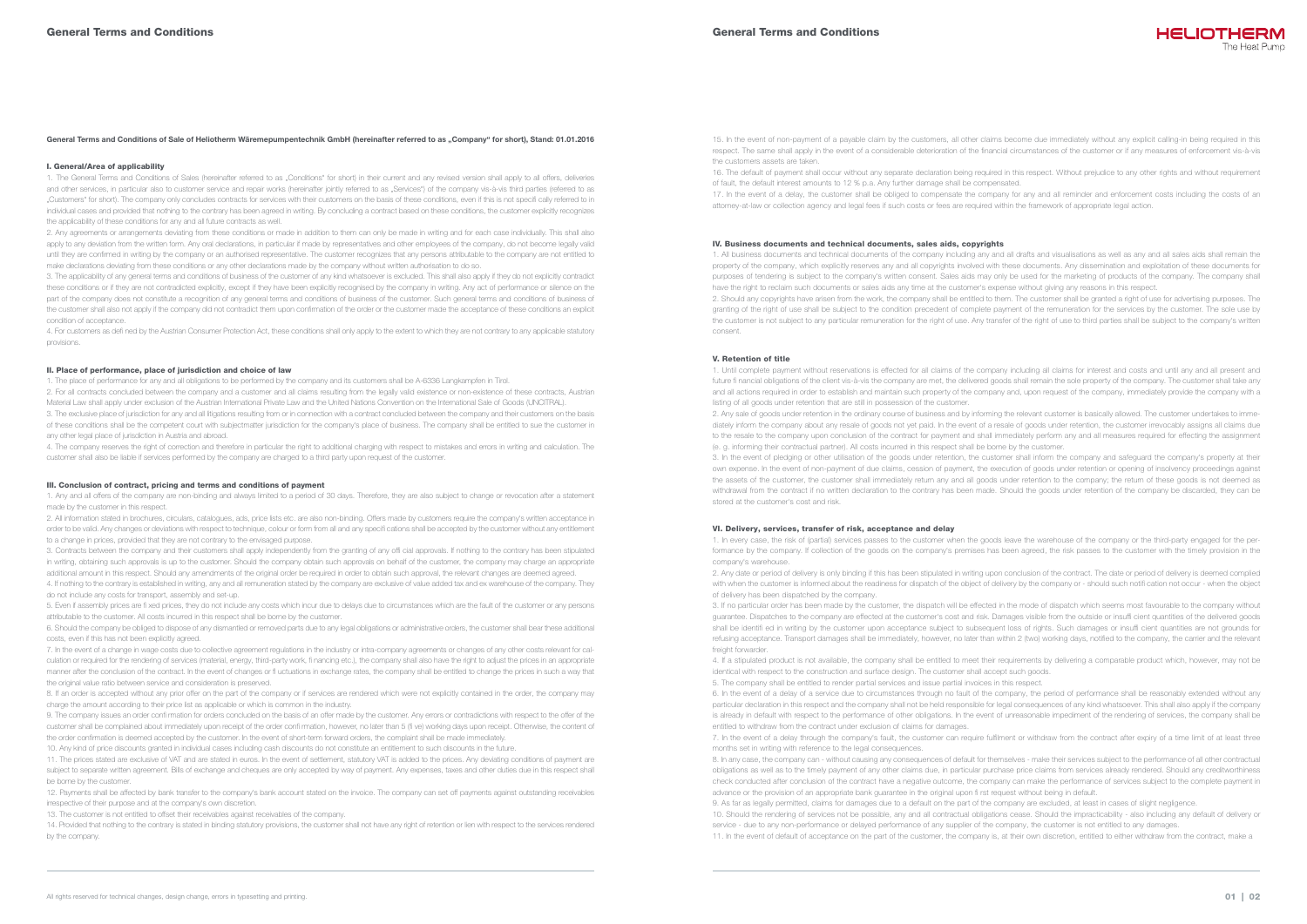# General Terms and Conditions of Sale of Heliotherm Wäremepumpentechnik GmbH (hereinafter referred to as "Company" for short), Stand: 01.01.2016

### I. General/Area of applicability

1. The General Terms and Conditions of Sales (hereinafter referred to as "Conditions" for short) in their current and any revised version shall apply to all offers, deliveries and other services, in particular also to customer service and repair works (hereinafter jointly referred to as "Services") of the company vis-à-vis third parties (referred to as "Customers" for short). The company only concludes contracts for services with their customers on the basis of these conditions, even if this is not specifi cally referred to in individual cases and provided that nothing to the contrary has been agreed in writing. By concluding a contract based on these conditions, the customer explicitly recognizes the applicability of these conditions for any and all future contracts as well.

2. Any agreements or arrangements deviating from these conditions or made in addition to them can only be made in writing and for each case individually. This shall also apply to any deviation from the written form. Any oral declarations, in particular if made by representatives and other employees of the company, do not become legally valid until they are confirmed in writing by the company or an authorised representative. The customer recognizes that any persons attributable to the company are not entitled to make declarations deviating from these conditions or any other declarations made by the company without written authorisation to do so.

2. For all contracts concluded between the company and a customer and all claims resulting from the legally valid existence or non-existence of these contracts, Austrian Material Law shall apply under exclusion of the Austrian International Private Law and the United Nations Convention on the International Sale of Goods (UNCITRAL).

3. The applicability of any general terms and conditions of business of the customer of any kind whatsoever is excluded. This shall also apply if they do not explicitly contradict these conditions or if they are not contradicted explicitly, except if they have been explicitly recognised by the company in writing. Any act of performance or silence on the part of the company does not constitute a recognition of any general terms and conditions of business of the customer. Such general terms and conditions of business of the customer shall also not apply if the company did not contradict them upon confirmation of the order or the customer made the acceptance of these conditions an explicit condition of acceptance.

4. For customers as defi ned by the Austrian Consumer Protection Act, these conditions shall only apply to the extent to which they are not contrary to any applicable statutory provisions.

## II. Place of performance, place of jurisdiction and choice of law

1. The place of performance for any and all obligations to be performed by the company and its customers shall be A-6336 Langkampfen in Tirol.

8. If an order is accepted without any prior offer on the part of the company or if services are rendered which were not explicitly contained in the order, the company may charge the amount according to their price list as applicable or which is common in the industry.

3. The exclusive place of jurisdiction for any and all litigations resulting from or in connection with a contract concluded between the company and their customers on the basis of these conditions shall be the competent court with subjectmatter jurisdiction for the company's place of business. The company shall be entitled to sue the customer in any other legal place of jurisdiction in Austria and abroad.

9. The company issues an order confi rmation for orders concluded on the basis of an offer made by the customer. Any errors or contradictions with respect to the offer of the customer shall be complained about immediately upon receipt of the order confi rmation, however, no later than 5 (fi ve) working days upon receipt. Otherwise, the content of the order confirmation is deemed accepted by the customer. In the event of short-term forward orders, the complaint shall be made immediately.

4. The company reserves the right of correction and therefore in particular the right to additional charging with respect to mistakes and errors in writing and calculation. The customer shall also be liable if services performed by the company are charged to a third party upon request of the customer.

## III. Conclusion of contract, pricing and terms and conditions of payment

1. Any and all offers of the company are non-binding and always limited to a period of 30 days. Therefore, they are also subject to change or revocation after a statement made by the customer in this respect.

2. All information stated in brochures, circulars, catalogues, ads, price lists etc. are also non-binding. Offers made by customers require the company's written acceptance in order to be valid. Any changes or deviations with respect to technique, colour or form from all and any specifi cations shall be accepted by the customer without any entitlement to a change in prices, provided that they are not contrary to the envisaged purpose.

3. Contracts between the company and their customers shall apply independently from the granting of any offi cial approvals. If nothing to the contrary has been stipulated in writing, obtaining such approvals is up to the customer. Should the company obtain such approvals on behalf of the customer, the company may charge an appropriate additional amount in this respect. Should any amendments of the original order be required in order to obtain such approval, the relevant changes are deemed agreed.

4. If nothing to the contrary is established in writing, any and all remuneration stated by the company are exclusive of value added tax and ex warehouse of the company. They do not include any costs for transport, assembly and set-up.

5. Even if assembly prices are fi xed prices, they do not include any costs which incur due to delays due to circumstances which are the fault of the customer or any persons attributable to the customer. All costs incurred in this respect shall be borne by the customer.

6. Should the company be obliged to dispose of any dismantled or removed parts due to any legal obligations or administrative orders, the customer shall bear these additional costs, even if this has not been explicitly agreed.

7. In the event of a change in wage costs due to collective agreement regulations in the industry or intra-company agreements or changes of any other costs relevant for calculation or required for the rendering of services (material, energy, third-party work, fi nancing etc.), the company shall also have the right to adjust the prices in an appropriate manner after the conclusion of the contract. In the event of changes or fl uctuations in exchange rates, the company shall be entitled to change the prices in such a way that the original value ratio between service and consideration is preserved.

3. If no particular order has been made by the customer, the dispatch will be effected in the mode of dispatch which seems most favourable to the company without guarantee. Dispatches to the company are effected at the customer's cost and risk. Damages visible from the outside or insuffi cient quantities of the delivered goods shall be identifi ed in writing by the customer upon acceptance subject to subsequent loss of rights. Such damages or insuffi cient quantities are not grounds for refusing acceptance. Transport damages shall be immediately, however, no later than within 2 (two) working days, notified to the company, the carrier and the relevant freight forwarder

10. Any kind of price discounts granted in individual cases including cash discounts do not constitute an entitlement to such discounts in the future.

11. The prices stated are exclusive of VAT and are stated in euros. In the event of settlement, statutory VAT is added to the prices. Any deviating conditions of payment are subject to separate written agreement. Bills of exchange and cheques are only accepted by way of payment. Any expenses, taxes and other duties due in this respect shall be borne by the customer.

12. Payments shall be affected by bank transfer to the company's bank account stated on the invoice. The company can set off payments against outstanding receivables irrespective of their purpose and at the company's own discretion.

13. The customer is not entitled to offset their receivables against receivables of the company.

14. Provided that nothing to the contrary is stated in binding statutory provisions, the customer shall not have any right of retention or lien with respect to the services rendered by the company.

15. In the event of non-payment of a payable claim by the customers, all other claims become due immediately without any explicit calling-in being required in this respect. The same shall apply in the event of a considerable deterioration of the financial circumstances of the customer or if any measures of enforcement vis-à-vis the customers assets are taken.

16. The default of payment shall occur without any separate declaration being required in this respect. Without prejudice to any other rights and without requirement of fault, the default interest amounts to 12 % p.a. Any further damage shall be compensated. 17. In the event of a delay, the customer shall be obliged to compensate the company for any and all reminder and enforcement costs including the costs of an attorney-at-law or collection agency and legal fees if such costs or fees are required within the framework of appropriate legal action.

## IV. Business documents and technical documents, sales aids, copyrights

1. All business documents and technical documents of the company including any and all drafts and visualisations as well as any and all sales aids shall remain the property of the company, which explicitly reserves any and all copyrights involved with these documents. Any dissemination and exploitation of these documents for purposes of tendering is subject to the company's written consent. Sales aids may only be used for the marketing of products of the company. The company shall have the right to reclaim such documents or sales aids any time at the customer's expense without giving any reasons in this respect. 2. Should any copyrights have arisen from the work, the company shall be entitled to them. The customer shall be granted a right of use for advertising purposes. The granting of the right of use shall be subject to the condition precedent of complete payment of the remuneration for the services by the customer. The sole use by the customer is not subject to any particular remuneration for the right of use. Any transfer of the right of use to third parties shall be subject to the company's written consent.

#### V. Retention of title

1. Until complete payment without reservations is effected for all claims of the company including all claims for interest and costs and until any and all present and future fi nancial obligations of the client vis-à-vis the company are met, the delivered goods shall remain the sole property of the company. The customer shall take any and all actions required in order to establish and maintain such property of the company and, upon request of the company, immediately provide the company with a listing of all goods under retention that are still in possession of the customer. 2. Any sale of goods under retention in the ordinary course of business and by informing the relevant customer is basically allowed. The customer undertakes to immediately inform the company about any resale of goods not yet paid. In the event of a resale of goods under retention, the customer irrevocably assigns all claims due to the resale to the company upon conclusion of the contract for payment and shall immediately perform any and all measures required for effecting the assignment (e. g. informing their contractual partner). All costs incurred in this respect shall be borne by the customer. 3. In the event of pledging or other utilisation of the goods under retention, the customer shall inform the company and safeguard the company's property at their own expense. In the event of non-payment of due claims, cession of payment, the execution of goods under retention or opening of insolvency proceedings against the assets of the customer, the customer shall immediately return any and all goods under retention to the company; the return of these goods is not deemed as withdrawal from the contract if no written declaration to the contrary has been made. Should the goods under retention of the company be discarded, they can be stored at the customer's cost and risk.

#### VI. Delivery, services, transfer of risk, acceptance and delay

1. In every case, the risk of (partial) services passes to the customer when the goods leave the warehouse of the company or the third-party engaged for the performance by the company. If collection of the goods on the company's premises has been agreed, the risk passes to the customer with the timely provision in the company's warehouse.

2. Any date or period of delivery is only binding if this has been stipulated in writing upon conclusion of the contract. The date or period of delivery is deemed complied with when the customer is informed about the readiness for dispatch of the object of delivery by the company or - should such notifi cation not occur - when the object of delivery has been dispatched by the company.

4. If a stipulated product is not available, the company shall be entitled to meet their requirements by delivering a comparable product which, however, may not be identical with respect to the construction and surface design. The customer shall accept such goods. 5. The company shall be entitled to render partial services and issue partial invoices in this respect. 6. In the event of a delay of a service due to circumstances through no fault of the company, the period of performance shall be reasonably extended without any particular declaration in this respect and the company shall not be held responsible for legal consequences of any kind whatsoever. This shall also apply if the company is already in default with respect to the performance of other obligations. In the event of unreasonable impediment of the rendering of services, the company shall be entitled to withdraw from the contract under exclusion of claims for damages. 7. In the event of a delay through the company's fault, the customer can require fulfilment or withdraw from the contract after expiry of a time limit of at least three

months set in writing with reference to the legal consequences.

8. In any case, the company can - without causing any consequences of default for themselves - make their services subject to the performance of all other contractual obligations as well as to the timely payment of any other claims due, in particular purchase price claims from services already rendered. Should any creditworthiness check conducted after conclusion of the contract have a negative outcome, the company can make the performance of services subject to the complete payment in advance or the provision of an appropriate bank guarantee in the original upon fi rst request without being in default. 9. As far as legally permitted, claims for damages due to a default on the part of the company are excluded, at least in cases of slight negligence. 10. Should the rendering of services not be possible, any and all contractual obligations cease. Should the impracticability - also including any default of delivery or service - due to any non-performance or delayed performance of any supplier of the company, the customer is not entitled to any damages. 11. In the event of default of acceptance on the part of the customer, the company is, at their own discretion, entitled to either withdraw from the contract, make a